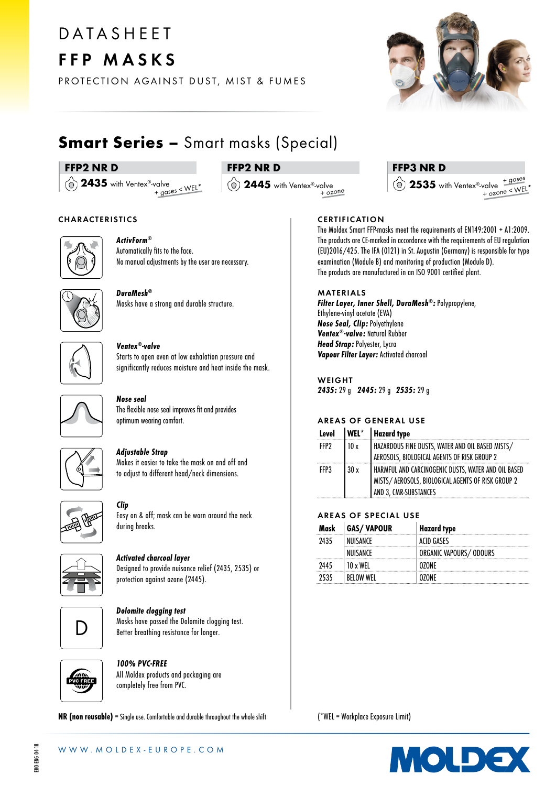# **DATASHEET** FFP MASKS

PROTECTION AGAINST DUST, MIST & FUMES



# **Smart Series - Smart masks (Special)**

# FFP2 NR D

(a) 2435 with Ventex®-valve + gases < WEL\*

# FFP2 NR D

(a) 2445 with Ventex®-valve  $+$  ozone

# FFP3 NR D

 $\hat{Q}$  2535 with Ventex®-valve  $+\frac{q\text{ cases}}{2.1}$  $+$  ozone < WEL

## CHARACTERISTICS



ActivForm® Automatically fits to the face. No manual adjustments by the user are necessary.



DuraMesh® Masks have a strong and durable structure.



# Ventex®-valve

Starts to open even at low exhalation pressure and significantly reduces moisture and heat inside the mask.



#### Nose seal The flexible nose seal improves fit and provides

optimum wearing comfort.



# Adjustable Strap

Makes it easier to take the mask on and off and to adjust to different head/neck dimensions.



Clip Easy on & off; mask can be worn around the neck during breaks.



Activated charcoal layer

Designed to provide nuisance relief (2435, 2535) or protection against ozone (2445).



Dolomite clogging test Masks have passed the Dolomite clogging test. Better breathing resistance for longer.



100% PVC-FREE All Moldex products and packaging are completely free from PVC.

NR (non reusable) = Single use. Comfortable and durable throughout the whole shift

# **CERTIFICATION**

The Moldex Smart FFP-masks meet the requirements of EN149:2001 + A1:2009. The products are CE-marked in accordance with the requirements of EU regulation (EU)2016/425. The IFA (0121) in St. Augustin (Germany) is responsible for type examination (Module B) and monitoring of production (Module D). The products are manufactured in an ISO 9001 certified plant.

## MATERIALS

Filter Layer, Inner Shell, DuraMesh®: Polypropylene, Ethylene-vinyl acetate (EVA) Nose Seal, Clip: Polyethylene Ventex®-valve: Natural Rubber Head Strap: Polyester, Lycra Vapour Filter Layer: Activated charcoal

WEIGHT 2435: 29 g 2445: 29 g 2535: 29 g

# AREAS OF GENERAL USE

| Level            |      | WEL*   Hazard type                                                                                                                   |
|------------------|------|--------------------------------------------------------------------------------------------------------------------------------------|
| FFP <sub>2</sub> | 10 x | HAZARDOUS FINE DUSTS, WATER AND OIL BASED MISTS/<br>AEROSOLS, BIOLOGICAL AGENTS OF RISK GROUP 2                                      |
| FFP3             | 30x  | HARMFUL AND CARCINOGENIC DUSTS, WATER AND OIL BASED<br>  MISTS/ AEROSOLS, BIOLOGICAL AGENTS OF RISK GROUP 2<br>AND 3, CMR-SUBSTANCES |

# AREAS OF SPECIAL USE

| Mask | <b>GAS/VAPOUR</b> | <b>Hazard type</b>      |
|------|-------------------|-------------------------|
| 2435 | NIIISANCF         | ACID GASES              |
|      | NIJISANCF         | ORGANIC VAPOURS/ ODOURS |
| 2445 | I y WFI           |                         |
|      | <b>REIOW WEL</b>  |                         |

(\*WEL = Workplace Exposure Limit)